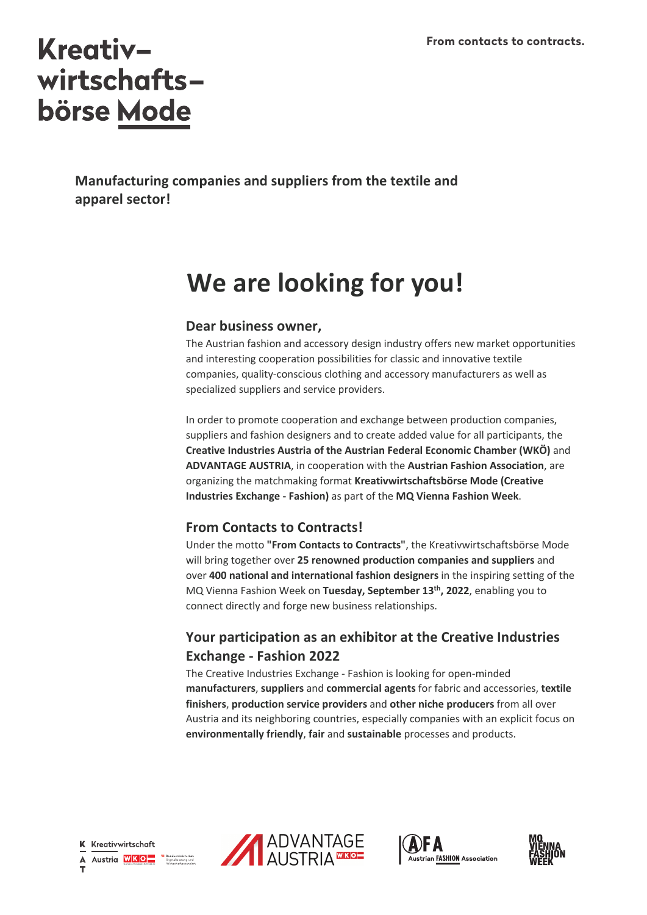# **Kreativ**wirtschafts**börse Mode**

**Manufacturing companies and suppliers from the textile and apparel sector!**

## **We are looking for you!**

### **Dear business owner,**

The Austrian fashion and accessory design industry offers new market opportunities and interesting cooperation possibilities for classic and innovative textile companies, quality-conscious clothing and accessory manufacturers as well as specialized suppliers and service providers.

In order to promote cooperation and exchange between production companies, suppliers and fashion designers and to create added value for all participants, the **Creative Industries Austria of the Austrian Federal Economic Chamber (WKÖ)** and **ADVANTAGE AUSTRIA**, in cooperation with the **Austrian Fashion Association**, are organizing the matchmaking format **Kreativwirtschaftsbörse Mode (Creative Industries Exchange - Fashion)** as part of the **MQ Vienna Fashion Week**.

## **From Contacts to Contracts!**

Under the motto **"From Contacts to Contracts"**, the Kreativwirtschaftsbörse Mode will bring together over **25 renowned production companies and suppliers** and over **400 national and international fashion designers** in the inspiring setting of the MQ Vienna Fashion Week on **Tuesday, September 13th, 2022**, enabling you to connect directly and forge new business relationships.

## **Your participation as an exhibitor at the Creative Industries Exchange - Fashion 2022**

The Creative Industries Exchange - Fashion is looking for open-minded **manufacturers**, **suppliers** and **commercial agents** for fabric and accessories, **textile finishers**, **production service providers** and **other niche producers** from all over Austria and its neighboring countries, especially companies with an explicit focus on **environmentally friendly**, **fair** and **sustainable** processes and products.